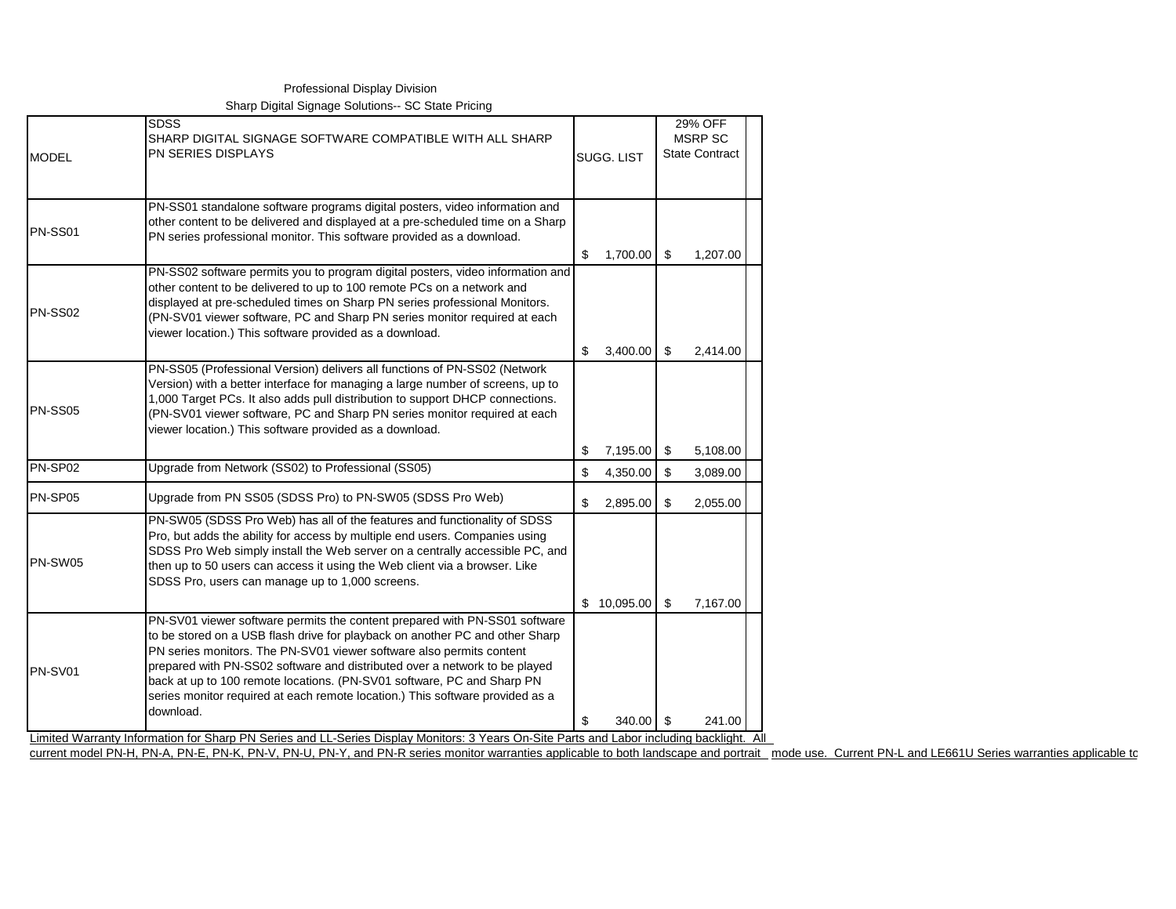| <b>MODEL</b>   | <b>SDSS</b><br>SHARP DIGITAL SIGNAGE SOFTWARE COMPATIBLE WITH ALL SHARP<br>PN SERIES DISPLAYS                                                                                                                                                                                                                                                                                                                                                                                            | SUGG, LIST |             | 29% OFF<br>MSRP SC<br><b>State Contract</b> |          |  |
|----------------|------------------------------------------------------------------------------------------------------------------------------------------------------------------------------------------------------------------------------------------------------------------------------------------------------------------------------------------------------------------------------------------------------------------------------------------------------------------------------------------|------------|-------------|---------------------------------------------|----------|--|
| PN-SS01        | PN-SS01 standalone software programs digital posters, video information and<br>other content to be delivered and displayed at a pre-scheduled time on a Sharp<br>PN series professional monitor. This software provided as a download.                                                                                                                                                                                                                                                   | \$         | 1,700.00    | \$                                          | 1,207.00 |  |
| <b>PN-SS02</b> | PN-SS02 software permits you to program digital posters, video information and<br>other content to be delivered to up to 100 remote PCs on a network and<br>displayed at pre-scheduled times on Sharp PN series professional Monitors.<br>(PN-SV01 viewer software, PC and Sharp PN series monitor required at each<br>viewer location.) This software provided as a download.                                                                                                           |            |             |                                             |          |  |
|                | PN-SS05 (Professional Version) delivers all functions of PN-SS02 (Network                                                                                                                                                                                                                                                                                                                                                                                                                | \$         | 3,400.00    | \$                                          | 2,414.00 |  |
| <b>PN-SS05</b> | Version) with a better interface for managing a large number of screens, up to<br>1,000 Target PCs. It also adds pull distribution to support DHCP connections.<br>(PN-SV01 viewer software, PC and Sharp PN series monitor required at each<br>viewer location.) This software provided as a download.                                                                                                                                                                                  |            |             |                                             |          |  |
|                |                                                                                                                                                                                                                                                                                                                                                                                                                                                                                          | \$         | 7,195.00    | \$                                          | 5,108.00 |  |
| PN-SP02        | Upgrade from Network (SS02) to Professional (SS05)                                                                                                                                                                                                                                                                                                                                                                                                                                       | \$         | 4,350.00    | \$                                          | 3,089.00 |  |
| PN-SP05        | Upgrade from PN SS05 (SDSS Pro) to PN-SW05 (SDSS Pro Web)                                                                                                                                                                                                                                                                                                                                                                                                                                | \$         | 2,895.00    | \$                                          | 2,055.00 |  |
| PN-SW05        | PN-SW05 (SDSS Pro Web) has all of the features and functionality of SDSS<br>Pro, but adds the ability for access by multiple end users. Companies using<br>SDSS Pro Web simply install the Web server on a centrally accessible PC, and<br>then up to 50 users can access it using the Web client via a browser. Like<br>SDSS Pro, users can manage up to 1,000 screens.                                                                                                                 |            | \$10,095.00 | \$                                          | 7,167.00 |  |
| PN-SV01        | PN-SV01 viewer software permits the content prepared with PN-SS01 software<br>to be stored on a USB flash drive for playback on another PC and other Sharp<br>PN series monitors. The PN-SV01 viewer software also permits content<br>prepared with PN-SS02 software and distributed over a network to be played<br>back at up to 100 remote locations. (PN-SV01 software, PC and Sharp PN<br>series monitor required at each remote location.) This software provided as a<br>download. |            |             |                                             |          |  |
|                | Limited Warranty Information for Sharp PN Series and LL-Series Display Monitors: 3 Years On-Site Parts and Labor including backlight. All                                                                                                                                                                                                                                                                                                                                                | \$.        | 340.00      | \$                                          | 241.00   |  |

Professional Display Division Sharp Digital Signage Solutions-- SC State Pricing

current model PN-H, PN-A, PN-E, PN-K, PN-V, PN-V, PN-Y, and PN-R series monitor warranties applicable to both landscape and portrait mode use. Current PN-L and LE661U Series warranties applicable to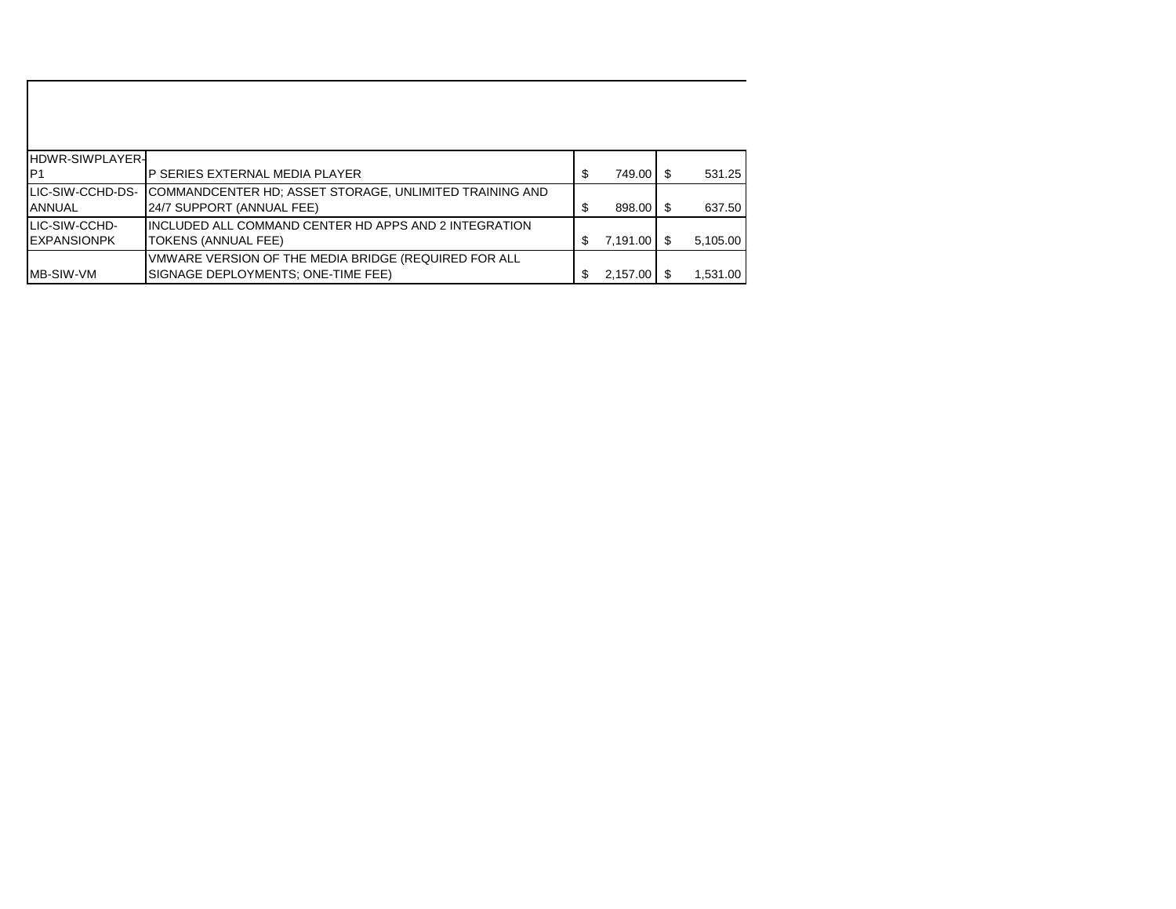| <b>HDWR-SIWPLAYER-</b> |                                                                 |    |                        |          |
|------------------------|-----------------------------------------------------------------|----|------------------------|----------|
| IP1                    | P SERIES EXTERNAL MEDIA PLAYER                                  | \$ | 749.00                 | 531.25   |
| LIC-SIW-CCHD-DS-       | <b>ICOMMANDCENTER HD: ASSET STORAGE, UNLIMITED TRAINING AND</b> |    |                        |          |
| <b>IANNUAL</b>         | 24/7 SUPPORT (ANNUAL FEE)                                       | \$ | 898.00 \$              | 637.50   |
| LIC-SIW-CCHD-          | IINCLUDED ALL COMMAND CENTER HD APPS AND 2 INTEGRATION.         |    |                        |          |
| <b>IEXPANSIONPK</b>    | TOKENS (ANNUAL FEE)                                             | S  | $7,191.00$ $\sqrt{\$}$ | 5,105.00 |
|                        | VMWARE VERSION OF THE MEDIA BRIDGE (REQUIRED FOR ALL            |    |                        |          |
| <b>IMB-SIW-VM</b>      | SIGNAGE DEPLOYMENTS: ONE-TIME FEE)                              | \$ | $2,157.00$ \$          | 1,531.00 |

 $\mathbf{I}$